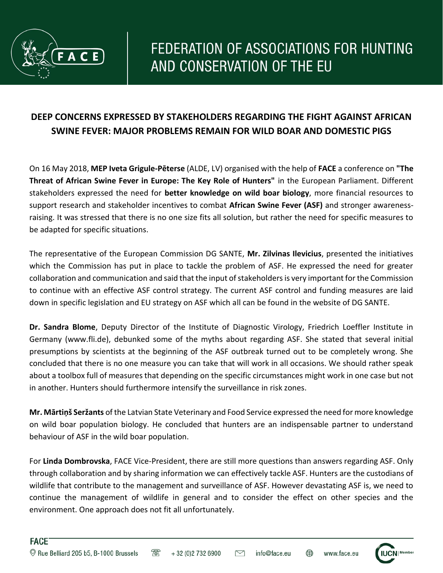

## **DEEP CONCERNS EXPRESSED BY STAKEHOLDERS REGARDING THE FIGHT AGAINST AFRICAN SWINE FEVER: MAJOR PROBLEMS REMAIN FOR WILD BOAR AND DOMESTIC PIGS**

On 16 May 2018, **MEP Iveta Grigule-Pēterse** (ALDE, LV) organised with the help of **FACE** a conference on **"The Threat of African Swine Fever in Europe: The Key Role of Hunters"** in the European Parliament. Different stakeholders expressed the need for **better knowledge on wild boar biology**, more financial resources to support research and stakeholder incentives to combat **African Swine Fever (ASF)** and stronger awarenessraising. It was stressed that there is no one size fits all solution, but rather the need for specific measures to be adapted for specific situations.

The representative of the European Commission DG SANTE, **Mr. Zilvinas Ilevicius**, presented the initiatives which the Commission has put in place to tackle the problem of ASF. He expressed the need for greater collaboration and communication and said that the input of stakeholders is very important for the Commission to continue with an effective ASF control strategy. The current ASF control and funding measures are laid down in specific legislation and EU strategy on ASF which all can be found in the website of DG SANTE.

**Dr. Sandra Blome**, Deputy Director of the Institute of Diagnostic Virology, Friedrich Loeffler Institute in Germany (www.fli.de), debunked some of the myths about regarding ASF. She stated that several initial presumptions by scientists at the beginning of the ASF outbreak turned out to be completely wrong. She concluded that there is no one measure you can take that will work in all occasions. We should rather speak about a toolbox full of measures that depending on the specific circumstances might work in one case but not in another. Hunters should furthermore intensify the surveillance in risk zones.

**Mr. Mārtiņš Seržants** of the Latvian State Veterinary and Food Service expressed the need for more knowledge on wild boar population biology. He concluded that hunters are an indispensable partner to understand behaviour of ASF in the wild boar population.

For **Linda Dombrovska**, FACE Vice-President, there are still more questions than answers regarding ASF. Only through collaboration and by sharing information we can effectively tackle ASF. Hunters are the custodians of wildlife that contribute to the management and surveillance of ASF. However devastating ASF is, we need to continue the management of wildlife in general and to consider the effect on other species and the environment. One approach does not fit all unfortunately.